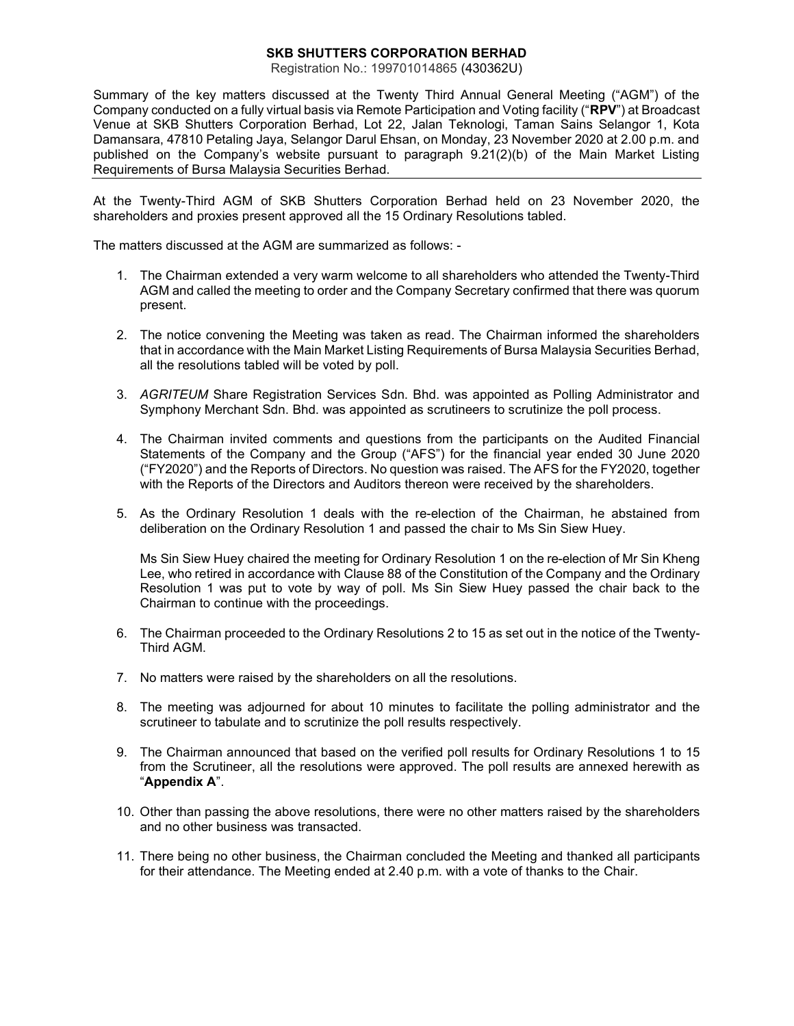## SKB SHUTTERS CORPORATION BERHAD

Registration No.: 199701014865 (430362U)

Summary of the key matters discussed at the Twenty Third Annual General Meeting ("AGM") of the Company conducted on a fully virtual basis via Remote Participation and Voting facility ("RPV") at Broadcast Venue at SKB Shutters Corporation Berhad, Lot 22, Jalan Teknologi, Taman Sains Selangor 1, Kota Damansara, 47810 Petaling Jaya, Selangor Darul Ehsan, on Monday, 23 November 2020 at 2.00 p.m. and published on the Company's website pursuant to paragraph 9.21(2)(b) of the Main Market Listing Requirements of Bursa Malaysia Securities Berhad.

At the Twenty-Third AGM of SKB Shutters Corporation Berhad held on 23 November 2020, the shareholders and proxies present approved all the 15 Ordinary Resolutions tabled.

The matters discussed at the AGM are summarized as follows: -

- 1. The Chairman extended a very warm welcome to all shareholders who attended the Twenty-Third AGM and called the meeting to order and the Company Secretary confirmed that there was quorum present.
- 2. The notice convening the Meeting was taken as read. The Chairman informed the shareholders that in accordance with the Main Market Listing Requirements of Bursa Malaysia Securities Berhad, all the resolutions tabled will be voted by poll.
- 3. AGRITEUM Share Registration Services Sdn. Bhd. was appointed as Polling Administrator and Symphony Merchant Sdn. Bhd. was appointed as scrutineers to scrutinize the poll process.
- 4. The Chairman invited comments and questions from the participants on the Audited Financial Statements of the Company and the Group ("AFS") for the financial year ended 30 June 2020 ("FY2020") and the Reports of Directors. No question was raised. The AFS for the FY2020, together with the Reports of the Directors and Auditors thereon were received by the shareholders.
- 5. As the Ordinary Resolution 1 deals with the re-election of the Chairman, he abstained from deliberation on the Ordinary Resolution 1 and passed the chair to Ms Sin Siew Huey.

Ms Sin Siew Huey chaired the meeting for Ordinary Resolution 1 on the re-election of Mr Sin Kheng Lee, who retired in accordance with Clause 88 of the Constitution of the Company and the Ordinary Resolution 1 was put to vote by way of poll. Ms Sin Siew Huey passed the chair back to the Chairman to continue with the proceedings.

- 6. The Chairman proceeded to the Ordinary Resolutions 2 to 15 as set out in the notice of the Twenty-Third AGM.
- 7. No matters were raised by the shareholders on all the resolutions.
- 8. The meeting was adjourned for about 10 minutes to facilitate the polling administrator and the scrutineer to tabulate and to scrutinize the poll results respectively.
- 9. The Chairman announced that based on the verified poll results for Ordinary Resolutions 1 to 15 from the Scrutineer, all the resolutions were approved. The poll results are annexed herewith as "Appendix A".
- 10. Other than passing the above resolutions, there were no other matters raised by the shareholders and no other business was transacted.
- 11. There being no other business, the Chairman concluded the Meeting and thanked all participants for their attendance. The Meeting ended at 2.40 p.m. with a vote of thanks to the Chair.